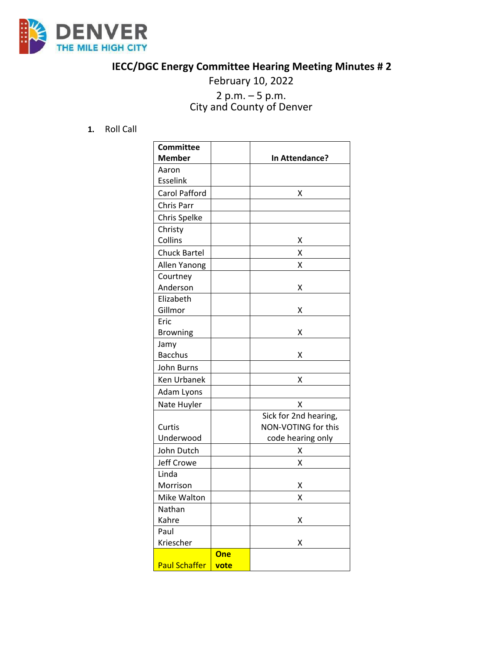

## **IECC/DGC Energy Committee Hearing Meeting Minutes # 2**

## February 10, 2022 <sup>2</sup> p.m. – <sup>5</sup> p.m. City and County of Denver

## **1.** Roll Call

| <b>Committee</b>     |      |                       |
|----------------------|------|-----------------------|
| <b>Member</b>        |      | In Attendance?        |
| Aaron                |      |                       |
| <b>Esselink</b>      |      |                       |
| <b>Carol Pafford</b> |      | X                     |
| Chris Parr           |      |                       |
| Chris Spelke         |      |                       |
| Christy              |      |                       |
| Collins              |      | х                     |
| <b>Chuck Bartel</b>  |      | X                     |
| Allen Yanong         |      | X                     |
| Courtney             |      |                       |
| Anderson             |      | Χ                     |
| Elizabeth            |      |                       |
| Gillmor              |      | Χ                     |
| Eric                 |      |                       |
| <b>Browning</b>      |      | Χ                     |
| Jamy                 |      |                       |
| <b>Bacchus</b>       |      | X                     |
| John Burns           |      |                       |
| Ken Urbanek          |      | Χ                     |
| Adam Lyons           |      |                       |
| Nate Huyler          |      | X                     |
|                      |      | Sick for 2nd hearing, |
| Curtis               |      | NON-VOTING for this   |
| Underwood            |      | code hearing only     |
| John Dutch           |      | х                     |
| Jeff Crowe           |      | Χ                     |
| Linda                |      |                       |
| Morrison             |      | Χ                     |
| Mike Walton          |      | Χ                     |
| Nathan               |      |                       |
| Kahre                |      | х                     |
| Paul                 |      |                       |
| Kriescher            |      | Χ                     |
|                      | One  |                       |
| <b>Paul Schaffer</b> | vote |                       |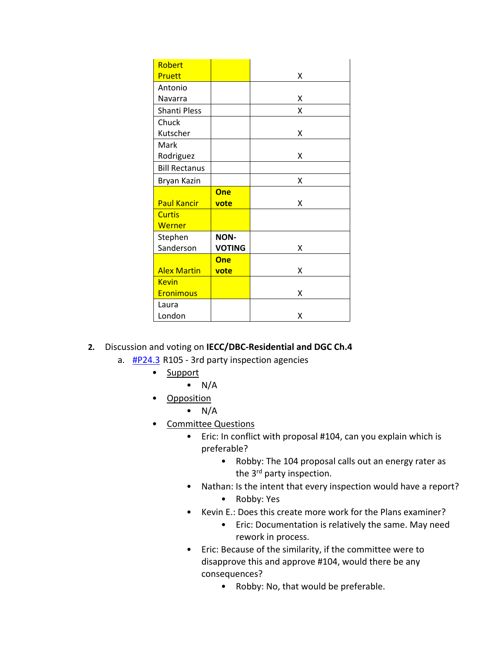| Robert               |               |   |
|----------------------|---------------|---|
| Pruett               |               | x |
| Antonio              |               |   |
| Navarra              |               | x |
| Shanti Pless         |               | x |
| Chuck                |               |   |
| Kutscher             |               | x |
| Mark                 |               |   |
| Rodriguez            |               | X |
| <b>Bill Rectanus</b> |               |   |
| Bryan Kazin          |               | x |
|                      | One           |   |
| <b>Paul Kancir</b>   | vote          | x |
| <b>Curtis</b>        |               |   |
| Werner               |               |   |
| Stephen              | <b>NON-</b>   |   |
| Sanderson            | <b>VOTING</b> | x |
|                      | One           |   |
| <b>Alex Martin</b>   | vote          | x |
| <b>Kevin</b>         |               |   |
| <b>Eronimous</b>     |               | x |
| Laura                |               |   |
| London               |               | x |

- **2.** Discussion and voting on **IECC/DBC-Residential and DGC Ch.4**
	- a.  $\frac{\text{HP24.3}}{\text{HP24.3}}$  R105 3rd party inspection agencies
		- Support
			- $\bullet$  N/A
		- Opposition
			- $\bullet$  N/A
		- Committee Questions
			- Eric: In conflict with proposal #104, can you explain which is preferable?
				- Robby: The 104 proposal calls out an energy rater as the 3<sup>rd</sup> party inspection.
			- Nathan: Is the intent that every inspection would have a report?
				- Robby: Yes
			- Kevin E.: Does this create more work for the Plans examiner?
				- Eric: Documentation is relatively the same. May need rework in process.
			- Eric: Because of the similarity, if the committee were to disapprove this and approve #104, would there be any consequences?
				- Robby: No, that would be preferable.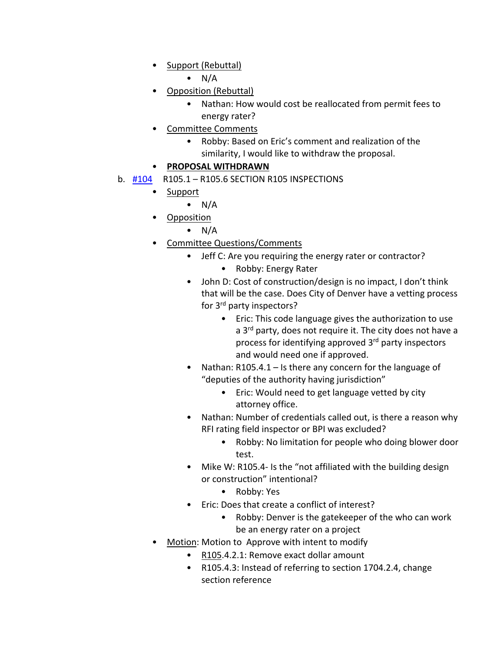• Support (Rebuttal)

 $\bullet$  N/A

- Opposition (Rebuttal)
	- Nathan: How would cost be reallocated from permit fees to energy rater?
- Committee Comments
	- Robby: Based on Eric's comment and realization of the similarity, I would like to withdraw the proposal.

## • **PROPOSAL WITHDRAWN**

- b. [#104](https://www.denvergov.org/files/assets/public/community-planning-and-development/documents/ds/building-codes/code-adoption/amendment-proposals/iecc/iecc_r105.1-r105.6.pdf) R105.1 R105.6 SECTION R105 INSPECTIONS
	- Support
		- $\bullet$  N/A
	- Opposition
		- $\bullet$  N/A
	- Committee Questions/Comments
		- Jeff C: Are you requiring the energy rater or contractor?
			- Robby: Energy Rater
		- John D: Cost of construction/design is no impact, I don't think that will be the case. Does City of Denver have a vetting process for 3rd party inspectors?
			- Eric: This code language gives the authorization to use a 3<sup>rd</sup> party, does not require it. The city does not have a process for identifying approved 3rd party inspectors and would need one if approved.
		- Nathan: R105.4.1 Is there any concern for the language of "deputies of the authority having jurisdiction"
			- Eric: Would need to get language vetted by city attorney office.
		- Nathan: Number of credentials called out, is there a reason why RFI rating field inspector or BPI was excluded?
			- Robby: No limitation for people who doing blower door test.
		- Mike W: R105.4- Is the "not affiliated with the building design or construction" intentional?
			- Robby: Yes
		- Eric: Does that create a conflict of interest?
			- Robby: Denver is the gatekeeper of the who can work be an energy rater on a project
	- Motion: Motion to Approve with intent to modify
		- R105.4.2.1: Remove exact dollar amount
		- R105.4.3: Instead of referring to section 1704.2.4, change section reference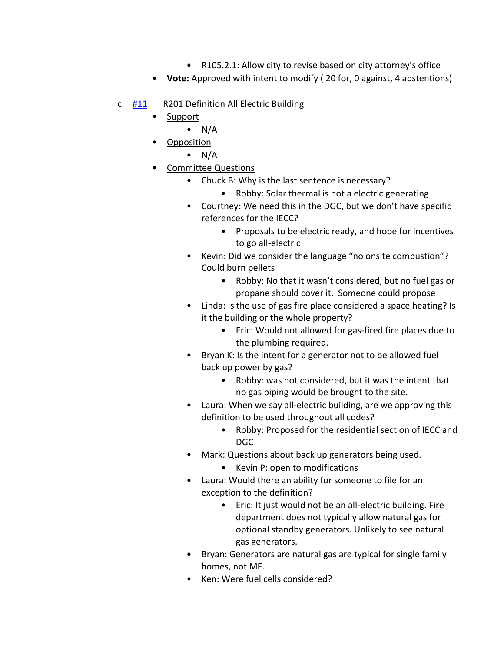- R105.2.1: Allow city to revise based on city attorney's office
- **Vote:** Approved with intent to modify ( 20 for, 0 against, 4 abstentions)
- c. [#11](https://www.denvergov.org/files/assets/public/community-planning-and-development/documents/ds/building-codes/code-adoption/amendment-proposals/iecc/iecc_r201-res.pdf) R201 Definition All Electric Building
	- Support
		- $\bullet$  N/A
		- Opposition
			- $\bullet$  N/A
		- Committee Questions
			- Chuck B: Why is the last sentence is necessary?
				- Robby: Solar thermal is not a electric generating
			- Courtney: We need this in the DGC, but we don't have specific references for the IECC?
				- Proposals to be electric ready, and hope for incentives to go all-electric
			- Kevin: Did we consider the language "no onsite combustion"? Could burn pellets
				- Robby: No that it wasn't considered, but no fuel gas or propane should cover it. Someone could propose
			- Linda: Is the use of gas fire place considered a space heating? Is it the building or the whole property?
				- Eric: Would not allowed for gas-fired fire places due to the plumbing required.
			- Bryan K: Is the intent for a generator not to be allowed fuel back up power by gas?
				- Robby: was not considered, but it was the intent that no gas piping would be brought to the site.
			- Laura: When we say all-electric building, are we approving this definition to be used throughout all codes?
				- Robby: Proposed for the residential section of IECC and DGC
			- Mark: Questions about back up generators being used.
				- Kevin P: open to modifications
			- Laura: Would there an ability for someone to file for an exception to the definition?
				- Eric: It just would not be an all-electric building. Fire department does not typically allow natural gas for optional standby generators. Unlikely to see natural gas generators.
			- Bryan: Generators are natural gas are typical for single family homes, not MF.
			- Ken: Were fuel cells considered?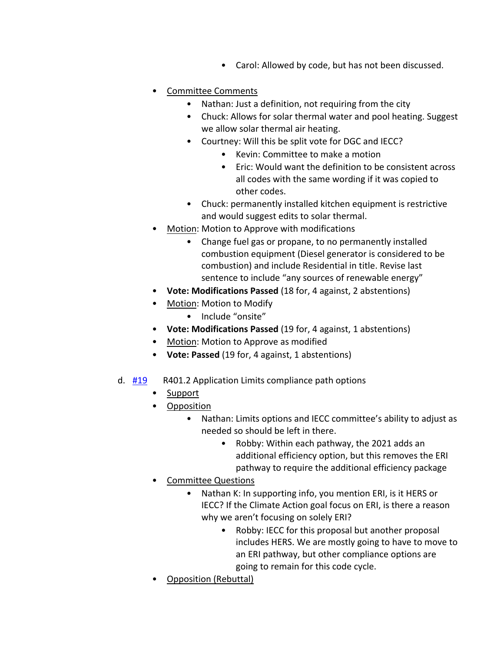- Carol: Allowed by code, but has not been discussed.
- Committee Comments
	- Nathan: Just a definition, not requiring from the city
	- Chuck: Allows for solar thermal water and pool heating. Suggest we allow solar thermal air heating.
	- Courtney: Will this be split vote for DGC and IECC?
		- Kevin: Committee to make a motion
		- Eric: Would want the definition to be consistent across all codes with the same wording if it was copied to other codes.
	- Chuck: permanently installed kitchen equipment is restrictive and would suggest edits to solar thermal.
- Motion: Motion to Approve with modifications
	- Change fuel gas or propane, to no permanently installed combustion equipment (Diesel generator is considered to be combustion) and include Residential in title. Revise last sentence to include "any sources of renewable energy"
- **Vote: Modifications Passed** (18 for, 4 against, 2 abstentions)
- Motion: Motion to Modify
	- Include "onsite"
- **Vote: Modifications Passed** (19 for, 4 against, 1 abstentions)
- Motion: Motion to Approve as modified
- **Vote: Passed** (19 for, 4 against, 1 abstentions)
- d.  $\frac{\#19}{\#19}$  $\frac{\#19}{\#19}$  $\frac{\#19}{\#19}$  R401.2 Application Limits compliance path options
	- **Support**
	- Opposition
		- Nathan: Limits options and IECC committee's ability to adjust as needed so should be left in there.
			- Robby: Within each pathway, the 2021 adds an additional efficiency option, but this removes the ERI pathway to require the additional efficiency package
	- Committee Questions
		- Nathan K: In supporting info, you mention ERI, is it HERS or IECC? If the Climate Action goal focus on ERI, is there a reason why we aren't focusing on solely ERI?
			- Robby: IECC for this proposal but another proposal includes HERS. We are mostly going to have to move to an ERI pathway, but other compliance options are going to remain for this code cycle.
	- Opposition (Rebuttal)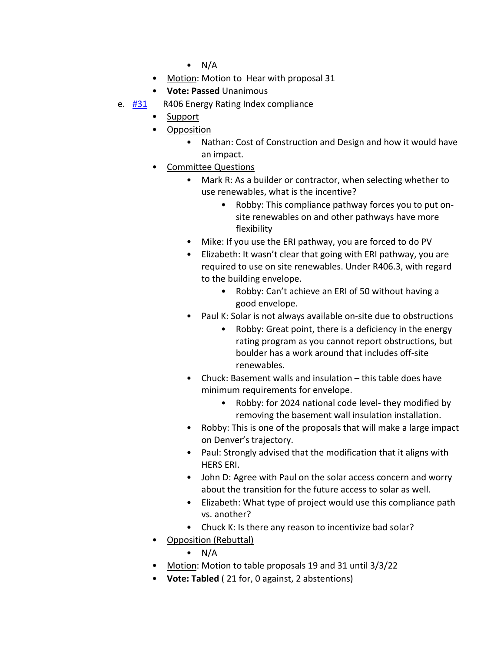- $\bullet$  N/A
- Motion: Motion to Hear with proposal 31
- **Vote: Passed** Unanimous
- e. [#31](https://www.denvergov.org/files/assets/public/community-planning-and-development/documents/ds/building-codes/code-adoption/amendment-proposals/iecc/iecc_r406_res.pdf) R406 Energy Rating Index compliance
	- Support
		- Opposition
			- Nathan: Cost of Construction and Design and how it would have an impact.
		- Committee Questions
			- Mark R: As a builder or contractor, when selecting whether to use renewables, what is the incentive?
				- Robby: This compliance pathway forces you to put onsite renewables on and other pathways have more flexibility
			- Mike: If you use the ERI pathway, you are forced to do PV
			- Elizabeth: It wasn't clear that going with ERI pathway, you are required to use on site renewables. Under R406.3, with regard to the building envelope.
				- Robby: Can't achieve an ERI of 50 without having a good envelope.
			- Paul K: Solar is not always available on-site due to obstructions
				- Robby: Great point, there is a deficiency in the energy rating program as you cannot report obstructions, but boulder has a work around that includes off-site renewables.
			- Chuck: Basement walls and insulation this table does have minimum requirements for envelope.
				- Robby: for 2024 national code level- they modified by removing the basement wall insulation installation.
			- Robby: This is one of the proposals that will make a large impact on Denver's trajectory.
			- Paul: Strongly advised that the modification that it aligns with HERS ERI.
			- John D: Agree with Paul on the solar access concern and worry about the transition for the future access to solar as well.
			- Elizabeth: What type of project would use this compliance path vs. another?
			- Chuck K: Is there any reason to incentivize bad solar?
		- Opposition (Rebuttal)
			- $\bullet$  N/A
		- Motion: Motion to table proposals 19 and 31 until 3/3/22
		- **Vote: Tabled** ( 21 for, 0 against, 2 abstentions)